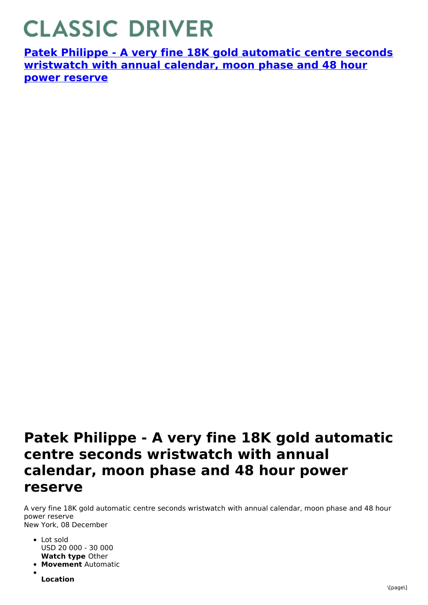## **CLASSIC DRIVER**

**Patek Philippe - A very fine 18K gold automatic centre seconds [wristwatch](https://www.classicdriver.com/en/watch/patek-philippe/273617) with annual calendar, moon phase and 48 hour power reserve**

## **Patek Philippe - A very fine 18K gold automatic centre seconds wristwatch with annual calendar, moon phase and 48 hour power reserve**

A very fine 18K gold automatic centre seconds wristwatch with annual calendar, moon phase and 48 hour power reserve New York, 08 December

- **Watch type** Other • Lot sold USD 20 000 - 30 000
- **Movement** Automatic

**Location**